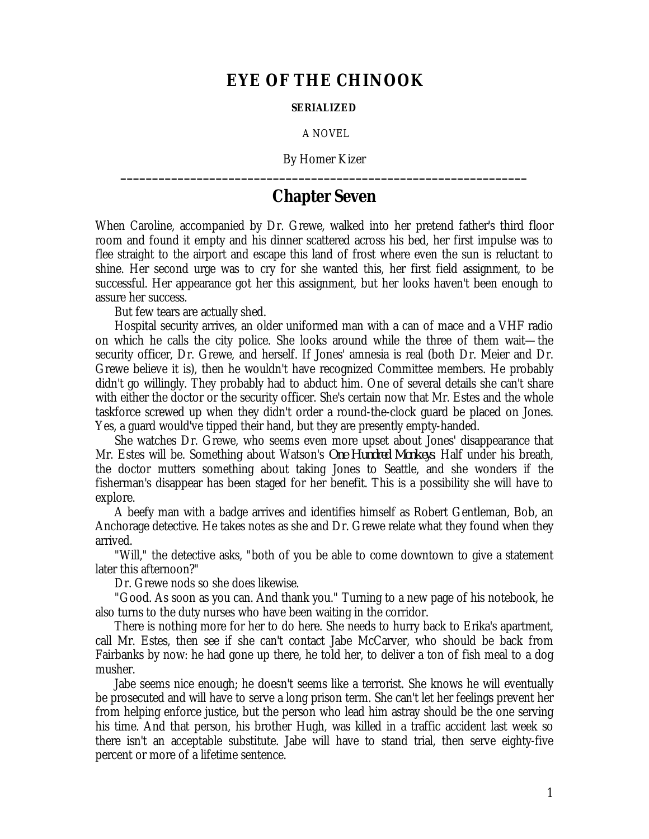## **EYE OF THE CHINOOK**

## **SERIALIZED**

A NOVEL

By Homer Kizer **\_\_\_\_\_\_\_\_\_\_\_\_\_\_\_\_\_\_\_\_\_\_\_\_\_\_\_\_\_\_\_\_\_\_\_\_\_\_\_\_\_\_\_\_\_\_\_\_\_\_\_\_\_\_\_\_\_\_\_\_\_\_\_\_**

## **Chapter Seven**

When Caroline, accompanied by Dr. Grewe, walked into her pretend father's third floor room and found it empty and his dinner scattered across his bed, her first impulse was to flee straight to the airport and escape this land of frost where even the sun is reluctant to shine. Her second urge was to cry for she wanted this, her first field assignment, to be successful. Her appearance got her this assignment, but her looks haven't been enough to assure her success.

But few tears are actually shed.

Hospital security arrives, an older uniformed man with a can of mace and a VHF radio on which he calls the city police. She looks around while the three of them wait—the security officer, Dr. Grewe, and herself. If Jones' amnesia is real (both Dr. Meier and Dr. Grewe believe it is), then he wouldn't have recognized Committee members. He probably didn't go willingly. They probably had to abduct him. One of several details she can't share with either the doctor or the security officer. She's certain now that Mr. Estes and the whole taskforce screwed up when they didn't order a round-the-clock guard be placed on Jones. Yes, a guard would've tipped their hand, but they are presently empty-handed.

She watches Dr. Grewe, who seems even more upset about Jones' disappearance that Mr. Estes will be. Something about Watson's *One Hundred Monkeys*. Half under his breath, the doctor mutters something about taking Jones to Seattle, and she wonders if the fisherman's disappear has been staged for her benefit. This is a possibility she will have to explore.

A beefy man with a badge arrives and identifies himself as Robert Gentleman, Bob, an Anchorage detective. He takes notes as she and Dr. Grewe relate what they found when they arrived.

"Will," the detective asks, "both of you be able to come downtown to give a statement later this afternoon?"

Dr. Grewe nods so she does likewise.

"Good. As soon as you can. And thank you." Turning to a new page of his notebook, he also turns to the duty nurses who have been waiting in the corridor.

There is nothing more for her to do here. She needs to hurry back to Erika's apartment, call Mr. Estes, then see if she can't contact Jabe McCarver, who should be back from Fairbanks by now: he had gone up there, he told her, to deliver a ton of fish meal to a dog musher.

Jabe seems nice enough; he doesn't seems like a terrorist. She knows he will eventually be prosecuted and will have to serve a long prison term. She can't let her feelings prevent her from helping enforce justice, but the person who lead him astray should be the one serving his time. And that person, his brother Hugh, was killed in a traffic accident last week so there isn't an acceptable substitute. Jabe will have to stand trial, then serve eighty-five percent or more of a lifetime sentence.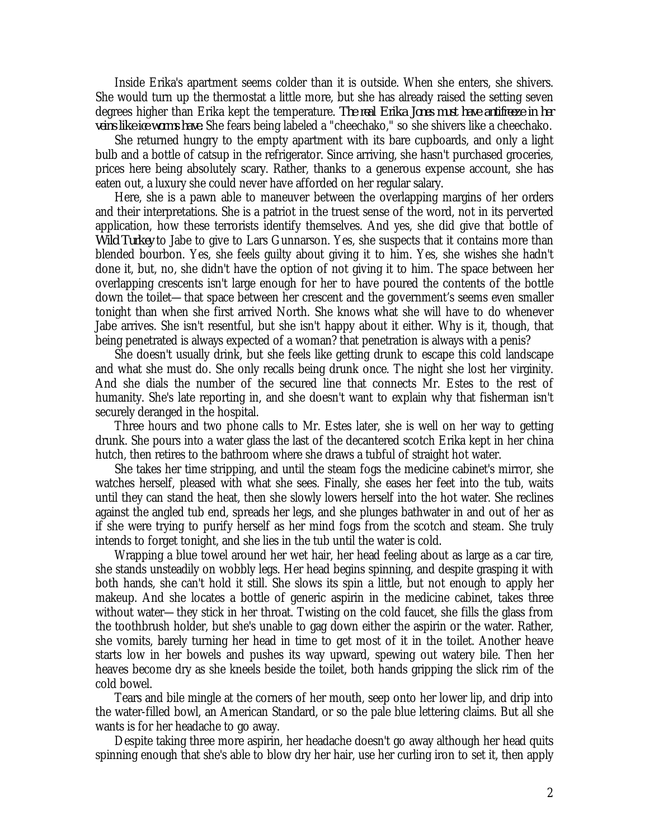Inside Erika's apartment seems colder than it is outside. When she enters, she shivers. She would turn up the thermostat a little more, but she has already raised the setting seven degrees higher than Erika kept the temperature. *The real Erika Jones must have antifreeze in her veins like ice worms have.* She fears being labeled a "cheechako," so she shivers like a cheechako.

She returned hungry to the empty apartment with its bare cupboards, and only a light bulb and a bottle of catsup in the refrigerator. Since arriving, she hasn't purchased groceries, prices here being absolutely scary. Rather, thanks to a generous expense account, she has eaten out, a luxury she could never have afforded on her regular salary.

Here, she is a pawn able to maneuver between the overlapping margins of her orders and their interpretations. She is a patriot in the truest sense of the word, not in its perverted application, how these terrorists identify themselves. And yes, she did give that bottle of *Wild Turkey* to Jabe to give to Lars Gunnarson. Yes, she suspects that it contains more than blended bourbon. Yes, she feels guilty about giving it to him. Yes, she wishes she hadn't done it, but, no, she didn't have the option of not giving it to him. The space between her overlapping crescents isn't large enough for her to have poured the contents of the bottle down the toilet—that space between her crescent and the government's seems even smaller tonight than when she first arrived North. She knows what she will have to do whenever Jabe arrives. She isn't resentful, but she isn't happy about it either. Why is it, though, that being penetrated is always expected of a woman? that penetration is always with a penis?

She doesn't usually drink, but she feels like getting drunk to escape this cold landscape and what she must do. She only recalls being drunk once. The night she lost her virginity. And she dials the number of the secured line that connects Mr. Estes to the rest of humanity. She's late reporting in, and she doesn't want to explain why that fisherman isn't securely deranged in the hospital.

Three hours and two phone calls to Mr. Estes later, she is well on her way to getting drunk. She pours into a water glass the last of the decantered scotch Erika kept in her china hutch, then retires to the bathroom where she draws a tubful of straight hot water.

She takes her time stripping, and until the steam fogs the medicine cabinet's mirror, she watches herself, pleased with what she sees. Finally, she eases her feet into the tub, waits until they can stand the heat, then she slowly lowers herself into the hot water. She reclines against the angled tub end, spreads her legs, and she plunges bathwater in and out of her as if she were trying to purify herself as her mind fogs from the scotch and steam. She truly intends to forget tonight, and she lies in the tub until the water is cold.

Wrapping a blue towel around her wet hair, her head feeling about as large as a car tire, she stands unsteadily on wobbly legs. Her head begins spinning, and despite grasping it with both hands, she can't hold it still. She slows its spin a little, but not enough to apply her makeup. And she locates a bottle of generic aspirin in the medicine cabinet, takes three without water—they stick in her throat. Twisting on the cold faucet, she fills the glass from the toothbrush holder, but she's unable to gag down either the aspirin or the water. Rather, she vomits, barely turning her head in time to get most of it in the toilet. Another heave starts low in her bowels and pushes its way upward, spewing out watery bile. Then her heaves become dry as she kneels beside the toilet, both hands gripping the slick rim of the cold bowel.

Tears and bile mingle at the corners of her mouth, seep onto her lower lip, and drip into the water-filled bowl, an American Standard, or so the pale blue lettering claims. But all she wants is for her headache to go away.

Despite taking three more aspirin, her headache doesn't go away although her head quits spinning enough that she's able to blow dry her hair, use her curling iron to set it, then apply